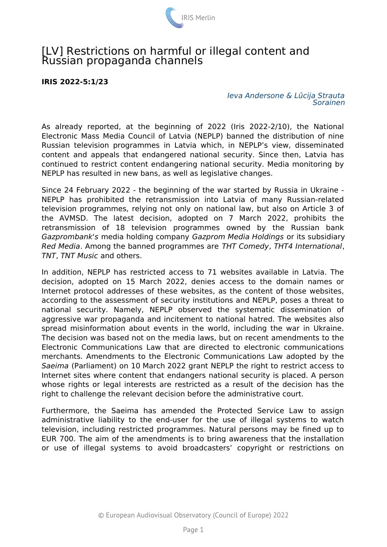

## [LV] Restrictions on harmful or illegal content and Russian propaganda channels

## **IRIS 2022-5:1/23**

*Ieva Andersone & Lūcija Strauta Sorainen*

As already reported, at the beginning of 2022 (Iris 2022-2/10), the National Electronic Mass Media Council of Latvia (NEPLP) banned the distribution of nine Russian television programmes in Latvia which, in NEPLP's view, disseminated content and appeals that endangered national security. Since then, Latvia has continued to restrict content endangering national security. Media monitoring by NEPLP has resulted in new bans, as well as legislative changes.

Since 24 February 2022 - the beginning of the war started by Russia in Ukraine - NEPLP has prohibited the retransmission into Latvia of many Russian-related television programmes, relying not only on national law, but also on Article 3 of the AVMSD. The latest decision, adopted on 7 March 2022, prohibits the retransmission of 18 television programmes owned by the Russian bank *Gazprombank's* media holding company *Gazprom Media Holdings* or its subsidiary *Red Media*. Among the banned programmes are *THT Comedy*, *THT4 International*, *TNT*, *TNT Music* and others.

In addition, NEPLP has restricted access to 71 websites available in Latvia. The decision, adopted on 15 March 2022, denies access to the domain names or Internet protocol addresses of these websites, as the content of those websites, according to the assessment of security institutions and NEPLP, poses a threat to national security. Namely, NEPLP observed the systematic dissemination of aggressive war propaganda and incitement to national hatred. The websites also spread misinformation about events in the world, including the war in Ukraine. The decision was based not on the media laws, but on recent amendments to the Electronic Communications Law that are directed to electronic communications merchants. Amendments to the Electronic Communications Law adopted by the *Saeima* (Parliament) on 10 March 2022 grant NEPLP the right to restrict access to Internet sites where content that endangers national security is placed. A person whose rights or legal interests are restricted as a result of the decision has the right to challenge the relevant decision before the administrative court.

Furthermore, the Saeima has amended the Protected Service Law to assign administrative liability to the end-user for the use of illegal systems to watch television, including restricted programmes. Natural persons may be fined up to EUR 700. The aim of the amendments is to bring awareness that the installation or use of illegal systems to avoid broadcasters' copyright or restrictions on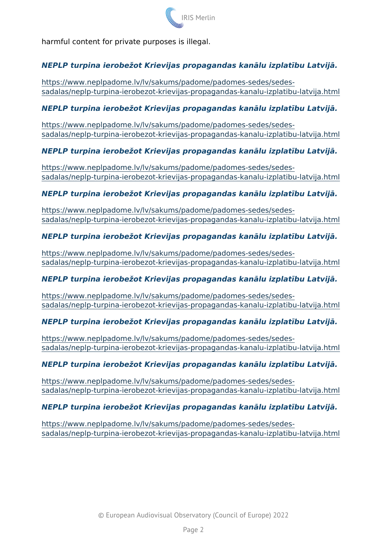harmful content for private purposes is illegal.

NEPLP turpina ierobe~ot Krievijas propagandas kan lu izplat+bu L

[https://www.neplpadome.lv/lv/sakums/padome/pad](https://www.neplpadome.lv/lv/sakums/padome/padomes-sedes/sedes-sadalas/neplp-turpina-ierobezot-krievijas-propagandas-kanalu-izplatibu-latvija.html)omes-sedes/sedes [sadalas/neplp-turpina-ierobezot-krievijas-propagandas-kan](https://www.neplpadome.lv/lv/sakums/padome/padomes-sedes/sedes-sadalas/neplp-turpina-ierobezot-krievijas-propagandas-kanalu-izplatibu-latvija.html)alu-izpla

NEPLP turpina ierobe~ot Krievijas propagandas kan lu izplat+bu L

[https://www.neplpadome.lv/lv/sakums/padome/pad](https://www.neplpadome.lv/lv/sakums/padome/padomes-sedes/sedes-sadalas/neplp-turpina-ierobezot-krievijas-propagandas-kanalu-izplatibu-latvija.html)omes-sedes/sedes [sadalas/neplp-turpina-ierobezot-krievijas-propagandas-kan](https://www.neplpadome.lv/lv/sakums/padome/padomes-sedes/sedes-sadalas/neplp-turpina-ierobezot-krievijas-propagandas-kanalu-izplatibu-latvija.html)alu-izpla

NEPLP turpina ierobe~ot Krievijas propagandas kan lu izplat+bu L

[https://www.neplpadome.lv/lv/sakums/padome/pad](https://www.neplpadome.lv/lv/sakums/padome/padomes-sedes/sedes-sadalas/neplp-turpina-ierobezot-krievijas-propagandas-kanalu-izplatibu-latvija.html)omes-sedes/sedes [sadalas/neplp-turpina-ierobezot-krievijas-propagandas-kan](https://www.neplpadome.lv/lv/sakums/padome/padomes-sedes/sedes-sadalas/neplp-turpina-ierobezot-krievijas-propagandas-kanalu-izplatibu-latvija.html)alu-izpla

NEPLP turpina ierobe~ot Krievijas propagandas kan lu izplat+bu L

[https://www.neplpadome.lv/lv/sakums/padome/pad](https://www.neplpadome.lv/lv/sakums/padome/padomes-sedes/sedes-sadalas/neplp-turpina-ierobezot-krievijas-propagandas-kanalu-izplatibu-latvija.html)omes-sedes/sedes [sadalas/neplp-turpina-ierobezot-krievijas-propagandas-kan](https://www.neplpadome.lv/lv/sakums/padome/padomes-sedes/sedes-sadalas/neplp-turpina-ierobezot-krievijas-propagandas-kanalu-izplatibu-latvija.html)alu-izpla

NEPLP turpina ierobe~ot Krievijas propagandas kan lu izplat+bu L

[https://www.neplpadome.lv/lv/sakums/padome/pad](https://www.neplpadome.lv/lv/sakums/padome/padomes-sedes/sedes-sadalas/neplp-turpina-ierobezot-krievijas-propagandas-kanalu-izplatibu-latvija.html)omes-sedes/sedes [sadalas/neplp-turpina-ierobezot-krievijas-propagandas-kan](https://www.neplpadome.lv/lv/sakums/padome/padomes-sedes/sedes-sadalas/neplp-turpina-ierobezot-krievijas-propagandas-kanalu-izplatibu-latvija.html)alu-izpla

NEPLP turpina ierobe~ot Krievijas propagandas kan lu izplat+bu L

[https://www.neplpadome.lv/lv/sakums/padome/pad](https://www.neplpadome.lv/lv/sakums/padome/padomes-sedes/sedes-sadalas/neplp-turpina-ierobezot-krievijas-propagandas-kanalu-izplatibu-latvija.html)omes-sedes/sedes [sadalas/neplp-turpina-ierobezot-krievijas-propagandas-kan](https://www.neplpadome.lv/lv/sakums/padome/padomes-sedes/sedes-sadalas/neplp-turpina-ierobezot-krievijas-propagandas-kanalu-izplatibu-latvija.html)alu-izpla

NEPLP turpina ierobe~ot Krievijas propagandas kan lu izplat+bu L

[https://www.neplpadome.lv/lv/sakums/padome/pad](https://www.neplpadome.lv/lv/sakums/padome/padomes-sedes/sedes-sadalas/neplp-turpina-ierobezot-krievijas-propagandas-kanalu-izplatibu-latvija.html)omes-sedes/sedes [sadalas/neplp-turpina-ierobezot-krievijas-propagandas-kan](https://www.neplpadome.lv/lv/sakums/padome/padomes-sedes/sedes-sadalas/neplp-turpina-ierobezot-krievijas-propagandas-kanalu-izplatibu-latvija.html)alu-izpla

NEPLP turpina ierobe~ot Krievijas propagandas kan lu izplat+bu L

[https://www.neplpadome.lv/lv/sakums/padome/pad](https://www.neplpadome.lv/lv/sakums/padome/padomes-sedes/sedes-sadalas/neplp-turpina-ierobezot-krievijas-propagandas-kanalu-izplatibu-latvija.html)omes-sedes/sedes [sadalas/neplp-turpina-ierobezot-krievijas-propagandas-kan](https://www.neplpadome.lv/lv/sakums/padome/padomes-sedes/sedes-sadalas/neplp-turpina-ierobezot-krievijas-propagandas-kanalu-izplatibu-latvija.html)alu-izpla

NEPLP turpina ierobe~ot Krievijas propagandas kan lu izplat+bu L

[https://www.neplpadome.lv/lv/sakums/padome/pad](https://www.neplpadome.lv/lv/sakums/padome/padomes-sedes/sedes-sadalas/neplp-turpina-ierobezot-krievijas-propagandas-kanalu-izplatibu-latvija.html)omes-sedes/sedes [sadalas/neplp-turpina-ierobezot-krievijas-propagandas-kan](https://www.neplpadome.lv/lv/sakums/padome/padomes-sedes/sedes-sadalas/neplp-turpina-ierobezot-krievijas-propagandas-kanalu-izplatibu-latvija.html)alu-izpla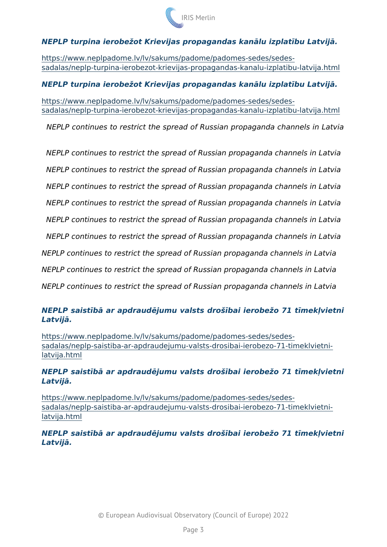NEPLP turpina ierobe~ot Krievijas propagandas kan lu izplat+bu L

[https://www.neplpadome.lv/lv/sakums/padome/pad](https://www.neplpadome.lv/lv/sakums/padome/padomes-sedes/sedes-sadalas/neplp-turpina-ierobezot-krievijas-propagandas-kanalu-izplatibu-latvija.html)omes-sedes/sedes [sadalas/neplp-turpina-ierobezot-krievijas-propagandas-kan](https://www.neplpadome.lv/lv/sakums/padome/padomes-sedes/sedes-sadalas/neplp-turpina-ierobezot-krievijas-propagandas-kanalu-izplatibu-latvija.html)alu-izpla

NEPLP turpina ierobe~ot Krievijas propagandas kan lu izplat+bu L

[https://www.neplpadome.lv/lv/sakums/padome/pad](https://www.neplpadome.lv/lv/sakums/padome/padomes-sedes/sedes-sadalas/neplp-turpina-ierobezot-krievijas-propagandas-kanalu-izplatibu-latvija.html)omes-sedes/sedes [sadalas/neplp-turpina-ierobezot-krievijas-propagandas-kan](https://www.neplpadome.lv/lv/sakums/padome/padomes-sedes/sedes-sadalas/neplp-turpina-ierobezot-krievijas-propagandas-kanalu-izplatibu-latvija.html)alu-izpla

NEPLP continues to restrict the spread of Russian propaganda of

NEPLP continues to restrict the spread of Russian propaganda cl NEPLP continues to restrict the spread of Russian propaganda cl NEPLP continues to restrict the spread of Russian propaganda cl NEPLP continues to restrict the spread of Russian propaganda cl  $NEPLP$  continues to restrict the spread of Russian propaganda channels NEPLP continues to restrict the spread of Russian propaganda ch NEPLP continues to restrict the spread of Russian propaganda cha NEPLP continues to restrict the spread of Russian propaganda cha NEPLP continues to restrict the spread of Russian propaganda cha

 $NEPLP$  saist+b ar apdraud jumu valsts droa+bai ierobe~o 71 t+m Latvij.

[https://www.neplpadome.lv/lv/sakums/padome/pad](https://www.neplpadome.lv/lv/sakums/padome/padomes-sedes/sedes-sadalas/neplp-saistiba-ar-apdraudejumu-valsts-drosibai-ierobezo-71-timeklvietni-latvija.html)omes-sedes/sedes [sadalas/neplp-saistiba-ar-apdraudejumu-valsts-drosibai-i](https://www.neplpadome.lv/lv/sakums/padome/padomes-sedes/sedes-sadalas/neplp-saistiba-ar-apdraudejumu-valsts-drosibai-ierobezo-71-timeklvietni-latvija.html)erobezo-7<sup>-</sup> [latvija.h](https://www.neplpadome.lv/lv/sakums/padome/padomes-sedes/sedes-sadalas/neplp-saistiba-ar-apdraudejumu-valsts-drosibai-ierobezo-71-timeklvietni-latvija.html)tml

 $NEPLP$  saist+b ar apdraud jumu valsts droa+bai ierobe~o 71 t+m Latvij.

[https://www.neplpadome.lv/lv/sakums/padome/pad](https://www.neplpadome.lv/lv/sakums/padome/padomes-sedes/sedes-sadalas/neplp-saistiba-ar-apdraudejumu-valsts-drosibai-ierobezo-71-timeklvietni-latvija.html)omes-sedes/sedes [sadalas/neplp-saistiba-ar-apdraudejumu-valsts-drosibai-i](https://www.neplpadome.lv/lv/sakums/padome/padomes-sedes/sedes-sadalas/neplp-saistiba-ar-apdraudejumu-valsts-drosibai-ierobezo-71-timeklvietni-latvija.html)erobezo-7<sup>-</sup> [latvija.h](https://www.neplpadome.lv/lv/sakums/padome/padomes-sedes/sedes-sadalas/neplp-saistiba-ar-apdraudejumu-valsts-drosibai-ierobezo-71-timeklvietni-latvija.html)tml

NEPLP saist+b ar apdraud jumu valsts droa+bai ierobe~o 71 t+m Latvij.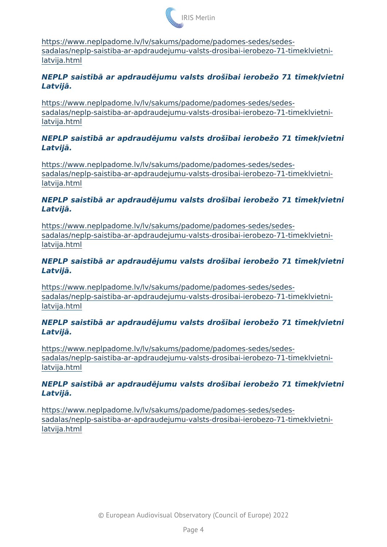[https://www.neplpadome.lv/lv/sakums/padome/pad](https://www.neplpadome.lv/lv/sakums/padome/padomes-sedes/sedes-sadalas/neplp-saistiba-ar-apdraudejumu-valsts-drosibai-ierobezo-71-timeklvietni-latvija.html)omes-sedes/sedes [sadalas/neplp-saistiba-ar-apdraudejumu-valsts-drosibai-i](https://www.neplpadome.lv/lv/sakums/padome/padomes-sedes/sedes-sadalas/neplp-saistiba-ar-apdraudejumu-valsts-drosibai-ierobezo-71-timeklvietni-latvija.html)erobezo-7<sup>-</sup> [latvija.h](https://www.neplpadome.lv/lv/sakums/padome/padomes-sedes/sedes-sadalas/neplp-saistiba-ar-apdraudejumu-valsts-drosibai-ierobezo-71-timeklvietni-latvija.html)tml

 $NEPLP$  saist+b ar apdraud jumu valsts droa+bai ierobe~o 71 t+m Latvij.

[https://www.neplpadome.lv/lv/sakums/padome/pad](https://www.neplpadome.lv/lv/sakums/padome/padomes-sedes/sedes-sadalas/neplp-saistiba-ar-apdraudejumu-valsts-drosibai-ierobezo-71-timeklvietni-latvija.html)omes-sedes/sedes [sadalas/neplp-saistiba-ar-apdraudejumu-valsts-drosibai-i](https://www.neplpadome.lv/lv/sakums/padome/padomes-sedes/sedes-sadalas/neplp-saistiba-ar-apdraudejumu-valsts-drosibai-ierobezo-71-timeklvietni-latvija.html)erobezo-7<sup>-</sup> [latvija.h](https://www.neplpadome.lv/lv/sakums/padome/padomes-sedes/sedes-sadalas/neplp-saistiba-ar-apdraudejumu-valsts-drosibai-ierobezo-71-timeklvietni-latvija.html)tml

 $NEPLP$  saist+b ar apdraud jumu valsts droa+bai ierobe~o 71 t+m Latvij.

[https://www.neplpadome.lv/lv/sakums/padome/pad](https://www.neplpadome.lv/lv/sakums/padome/padomes-sedes/sedes-sadalas/neplp-saistiba-ar-apdraudejumu-valsts-drosibai-ierobezo-71-timeklvietni-latvija.html)omes-sedes/sedes [sadalas/neplp-saistiba-ar-apdraudejumu-valsts-drosibai-i](https://www.neplpadome.lv/lv/sakums/padome/padomes-sedes/sedes-sadalas/neplp-saistiba-ar-apdraudejumu-valsts-drosibai-ierobezo-71-timeklvietni-latvija.html)erobezo-7<sup>-</sup> [latvija.h](https://www.neplpadome.lv/lv/sakums/padome/padomes-sedes/sedes-sadalas/neplp-saistiba-ar-apdraudejumu-valsts-drosibai-ierobezo-71-timeklvietni-latvija.html)tml

NEPLP saist+b ar apdraud jumu valsts droa+bai ierobe~o 71 t+m Latvij.

[https://www.neplpadome.lv/lv/sakums/padome/pad](https://www.neplpadome.lv/lv/sakums/padome/padomes-sedes/sedes-sadalas/neplp-saistiba-ar-apdraudejumu-valsts-drosibai-ierobezo-71-timeklvietni-latvija.html)omes-sedes/sedes [sadalas/neplp-saistiba-ar-apdraudejumu-valsts-drosibai-i](https://www.neplpadome.lv/lv/sakums/padome/padomes-sedes/sedes-sadalas/neplp-saistiba-ar-apdraudejumu-valsts-drosibai-ierobezo-71-timeklvietni-latvija.html)erobezo-7<sup>-</sup> [latvija.h](https://www.neplpadome.lv/lv/sakums/padome/padomes-sedes/sedes-sadalas/neplp-saistiba-ar-apdraudejumu-valsts-drosibai-ierobezo-71-timeklvietni-latvija.html)tml

NEPLP saist+b ar apdraud jumu valsts droa+bai ierobe~o 71 t+m Latvij.

[https://www.neplpadome.lv/lv/sakums/padome/pad](https://www.neplpadome.lv/lv/sakums/padome/padomes-sedes/sedes-sadalas/neplp-saistiba-ar-apdraudejumu-valsts-drosibai-ierobezo-71-timeklvietni-latvija.html)omes-sedes/sedes [sadalas/neplp-saistiba-ar-apdraudejumu-valsts-drosibai-i](https://www.neplpadome.lv/lv/sakums/padome/padomes-sedes/sedes-sadalas/neplp-saistiba-ar-apdraudejumu-valsts-drosibai-ierobezo-71-timeklvietni-latvija.html)erobezo-7<sup>-</sup> [latvija.h](https://www.neplpadome.lv/lv/sakums/padome/padomes-sedes/sedes-sadalas/neplp-saistiba-ar-apdraudejumu-valsts-drosibai-ierobezo-71-timeklvietni-latvija.html)tml

 $NEPLP$  saist+b ar apdraud jumu valsts droa+bai ierobe~o 71 t+m Latvij.

[https://www.neplpadome.lv/lv/sakums/padome/pad](https://www.neplpadome.lv/lv/sakums/padome/padomes-sedes/sedes-sadalas/neplp-saistiba-ar-apdraudejumu-valsts-drosibai-ierobezo-71-timeklvietni-latvija.html)omes-sedes/sedes [sadalas/neplp-saistiba-ar-apdraudejumu-valsts-drosibai-i](https://www.neplpadome.lv/lv/sakums/padome/padomes-sedes/sedes-sadalas/neplp-saistiba-ar-apdraudejumu-valsts-drosibai-ierobezo-71-timeklvietni-latvija.html)erobezo-7<sup>-</sup> [latvija.h](https://www.neplpadome.lv/lv/sakums/padome/padomes-sedes/sedes-sadalas/neplp-saistiba-ar-apdraudejumu-valsts-drosibai-ierobezo-71-timeklvietni-latvija.html)tml

 $NEPLP$  saist+b ar apdraud jumu valsts droa+bai ierobe~o 71 t+m Latvij.

[https://www.neplpadome.lv/lv/sakums/padome/pad](https://www.neplpadome.lv/lv/sakums/padome/padomes-sedes/sedes-sadalas/neplp-saistiba-ar-apdraudejumu-valsts-drosibai-ierobezo-71-timeklvietni-latvija.html)omes-sedes/sedes [sadalas/neplp-saistiba-ar-apdraudejumu-valsts-drosibai-i](https://www.neplpadome.lv/lv/sakums/padome/padomes-sedes/sedes-sadalas/neplp-saistiba-ar-apdraudejumu-valsts-drosibai-ierobezo-71-timeklvietni-latvija.html)erobezo-7<sup>-</sup> [latvija.h](https://www.neplpadome.lv/lv/sakums/padome/padomes-sedes/sedes-sadalas/neplp-saistiba-ar-apdraudejumu-valsts-drosibai-ierobezo-71-timeklvietni-latvija.html)tml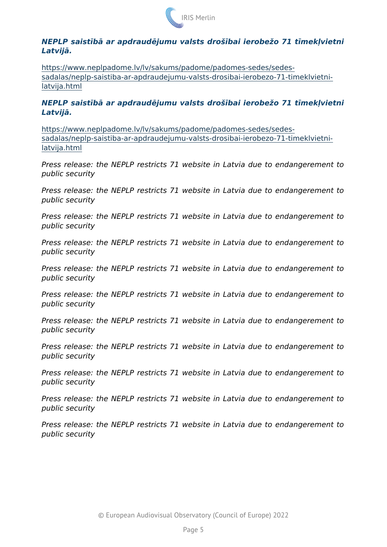$NEPLP$  saist+b ar apdraud jumu valsts droa+bai ierobe~o 71 t+m Latvij.

[https://www.neplpadome.lv/lv/sakums/padome/pad](https://www.neplpadome.lv/lv/sakums/padome/padomes-sedes/sedes-sadalas/neplp-saistiba-ar-apdraudejumu-valsts-drosibai-ierobezo-71-timeklvietni-latvija.html)omes-sedes/sedes [sadalas/neplp-saistiba-ar-apdraudejumu-valsts-drosibai-i](https://www.neplpadome.lv/lv/sakums/padome/padomes-sedes/sedes-sadalas/neplp-saistiba-ar-apdraudejumu-valsts-drosibai-ierobezo-71-timeklvietni-latvija.html)erobezo-7<sup>-</sup> [latvija.h](https://www.neplpadome.lv/lv/sakums/padome/padomes-sedes/sedes-sadalas/neplp-saistiba-ar-apdraudejumu-valsts-drosibai-ierobezo-71-timeklvietni-latvija.html)tml

NEPLP saist+b ar apdraud jumu valsts droa+bai ierobe~o 71 t+m Latvij.

[https://www.neplpadome.lv/lv/sakums/padome/pad](https://www.neplpadome.lv/lv/sakums/padome/padomes-sedes/sedes-sadalas/neplp-saistiba-ar-apdraudejumu-valsts-drosibai-ierobezo-71-timeklvietni-latvija.html)omes-sedes/sedes [sadalas/neplp-saistiba-ar-apdraudejumu-valsts-drosibai-i](https://www.neplpadome.lv/lv/sakums/padome/padomes-sedes/sedes-sadalas/neplp-saistiba-ar-apdraudejumu-valsts-drosibai-ierobezo-71-timeklvietni-latvija.html)erobezo-7<sup>-</sup> [latvija.h](https://www.neplpadome.lv/lv/sakums/padome/padomes-sedes/sedes-sadalas/neplp-saistiba-ar-apdraudejumu-valsts-drosibai-ierobezo-71-timeklvietni-latvija.html)tml

Press release: the NEPLP restricts 71 website in Latvia due to public security Press release: the NEPLP restricts 71 website in Latvia due to public security Press release: the NEPLP restricts 71 website in Latvia due to

public security

Press release: the NEPLP restricts 71 website in Latvia due to public security

Press release: the NEPLP restricts 71 website in Latvia due to public security

Press release: the NEPLP restricts 71 website in Latvia due to public security

Press release: the NEPLP restricts 71 website in Latvia due to public security

Press release: the NEPLP restricts 71 website in Latvia due to public security

Press release: the NEPLP restricts 71 website in Latvia due to public security

Press release: the NEPLP restricts 71 website in Latvia due to public security

Press release: the NEPLP restricts 71 website in Latvia due to public security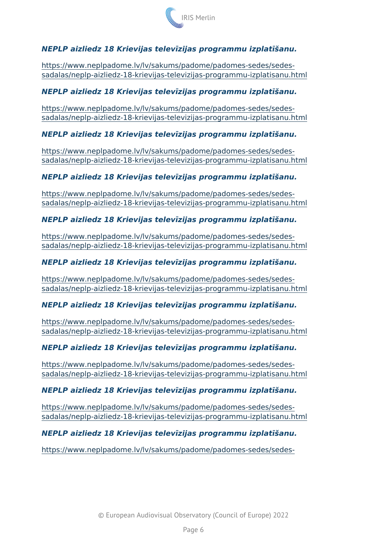NEPLP aizliedz 18 Krievijas telev+zijas programmu izplat+aanu.

[https://www.neplpadome.lv/lv/sakums/padome/pad](https://www.neplpadome.lv/lv/sakums/padome/padomes-sedes/sedes-sadalas/neplp-aizliedz-18-krievijas-televizijas-programmu-izplatisanu.html)omes-sedes/sedes [sadalas/neplp-aizliedz-18-krievijas-televizijas-progr](https://www.neplpadome.lv/lv/sakums/padome/padomes-sedes/sedes-sadalas/neplp-aizliedz-18-krievijas-televizijas-programmu-izplatisanu.html)ammu-izplatisa

NEPLP aizliedz 18 Krievijas telev+zijas programmu izplat+aanu.

[https://www.neplpadome.lv/lv/sakums/padome/pad](https://www.neplpadome.lv/lv/sakums/padome/padomes-sedes/sedes-sadalas/neplp-aizliedz-18-krievijas-televizijas-programmu-izplatisanu.html)omes-sedes/sedes [sadalas/neplp-aizliedz-18-krievijas-televizijas-progr](https://www.neplpadome.lv/lv/sakums/padome/padomes-sedes/sedes-sadalas/neplp-aizliedz-18-krievijas-televizijas-programmu-izplatisanu.html)ammu-izplatisa

NEPLP aizliedz 18 Krievijas telev+zijas programmu izplat+aanu.

[https://www.neplpadome.lv/lv/sakums/padome/pad](https://www.neplpadome.lv/lv/sakums/padome/padomes-sedes/sedes-sadalas/neplp-aizliedz-18-krievijas-televizijas-programmu-izplatisanu.html)omes-sedes/sedes [sadalas/neplp-aizliedz-18-krievijas-televizijas-progr](https://www.neplpadome.lv/lv/sakums/padome/padomes-sedes/sedes-sadalas/neplp-aizliedz-18-krievijas-televizijas-programmu-izplatisanu.html)ammu-izplatisa

NEPLP aizliedz 18 Krievijas telev+zijas programmu izplat+aanu.

[https://www.neplpadome.lv/lv/sakums/padome/pad](https://www.neplpadome.lv/lv/sakums/padome/padomes-sedes/sedes-sadalas/neplp-aizliedz-18-krievijas-televizijas-programmu-izplatisanu.html)omes-sedes/sedes [sadalas/neplp-aizliedz-18-krievijas-televizijas-progr](https://www.neplpadome.lv/lv/sakums/padome/padomes-sedes/sedes-sadalas/neplp-aizliedz-18-krievijas-televizijas-programmu-izplatisanu.html)ammu-izplatisa

NEPLP aizliedz 18 Krievijas telev+zijas programmu izplat+aanu.

[https://www.neplpadome.lv/lv/sakums/padome/pad](https://www.neplpadome.lv/lv/sakums/padome/padomes-sedes/sedes-sadalas/neplp-aizliedz-18-krievijas-televizijas-programmu-izplatisanu.html)omes-sedes/sedes [sadalas/neplp-aizliedz-18-krievijas-televizijas-progr](https://www.neplpadome.lv/lv/sakums/padome/padomes-sedes/sedes-sadalas/neplp-aizliedz-18-krievijas-televizijas-programmu-izplatisanu.html)ammu-izplatisa

NEPLP aizliedz 18 Krievijas telev+zijas programmu izplat+aanu.

[https://www.neplpadome.lv/lv/sakums/padome/pad](https://www.neplpadome.lv/lv/sakums/padome/padomes-sedes/sedes-sadalas/neplp-aizliedz-18-krievijas-televizijas-programmu-izplatisanu.html)omes-sedes/sedes [sadalas/neplp-aizliedz-18-krievijas-televizijas-progr](https://www.neplpadome.lv/lv/sakums/padome/padomes-sedes/sedes-sadalas/neplp-aizliedz-18-krievijas-televizijas-programmu-izplatisanu.html)ammu-izplatisa

NEPLP aizliedz 18 Krievijas telev+zijas programmu izplat+aanu.

[https://www.neplpadome.lv/lv/sakums/padome/pad](https://www.neplpadome.lv/lv/sakums/padome/padomes-sedes/sedes-sadalas/neplp-aizliedz-18-krievijas-televizijas-programmu-izplatisanu.html)omes-sedes/sedes [sadalas/neplp-aizliedz-18-krievijas-televizijas-progr](https://www.neplpadome.lv/lv/sakums/padome/padomes-sedes/sedes-sadalas/neplp-aizliedz-18-krievijas-televizijas-programmu-izplatisanu.html)ammu-izplatisa

NEPLP aizliedz 18 Krievijas telev+zijas programmu izplat+aanu.

[https://www.neplpadome.lv/lv/sakums/padome/pad](https://www.neplpadome.lv/lv/sakums/padome/padomes-sedes/sedes-sadalas/neplp-aizliedz-18-krievijas-televizijas-programmu-izplatisanu.html)omes-sedes/sedes [sadalas/neplp-aizliedz-18-krievijas-televizijas-progr](https://www.neplpadome.lv/lv/sakums/padome/padomes-sedes/sedes-sadalas/neplp-aizliedz-18-krievijas-televizijas-programmu-izplatisanu.html)ammu-izplatisa

NEPLP aizliedz 18 Krievijas telev+zijas programmu izplat+aanu.

[https://www.neplpadome.lv/lv/sakums/padome/pad](https://www.neplpadome.lv/lv/sakums/padome/padomes-sedes/sedes-sadalas/neplp-aizliedz-18-krievijas-televizijas-programmu-izplatisanu.html)omes-sedes/sedes [sadalas/neplp-aizliedz-18-krievijas-televizijas-progr](https://www.neplpadome.lv/lv/sakums/padome/padomes-sedes/sedes-sadalas/neplp-aizliedz-18-krievijas-televizijas-programmu-izplatisanu.html)ammu-izplatisa

NEPLP aizliedz 18 Krievijas telev+zijas programmu izplat+aanu.

[https://www.neplpadome.lv/lv/sakums/padome/pad](https://www.neplpadome.lv/lv/sakums/padome/padomes-sedes/sedes-sadalas/neplp-aizliedz-18-krievijas-televizijas-programmu-izplatisanu.html)omes-sedes/sedes-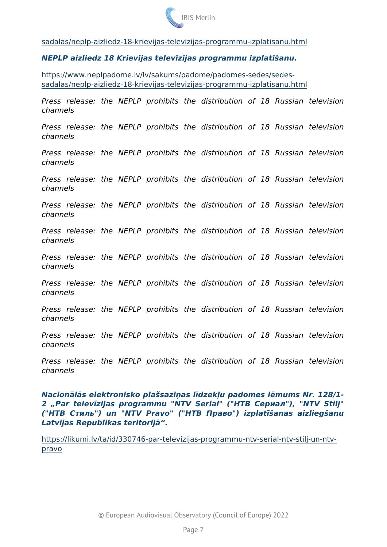[sadalas/neplp-aizliedz-18-krievijas-televizijas-progr](https://www.neplpadome.lv/lv/sakums/padome/padomes-sedes/sedes-sadalas/neplp-aizliedz-18-krievijas-televizijas-programmu-izplatisanu.html)ammu-izplatisa

NEPLP aizliedz 18 Krievijas telev+zijas programmu izplat+aanu.

[https://www.neplpadome.lv/lv/sakums/padome/pad](https://www.neplpadome.lv/lv/sakums/padome/padomes-sedes/sedes-sadalas/neplp-aizliedz-18-krievijas-televizijas-programmu-izplatisanu.html)omes-sedes/sedes [sadalas/neplp-aizliedz-18-krievijas-televizijas-progr](https://www.neplpadome.lv/lv/sakums/padome/padomes-sedes/sedes-sadalas/neplp-aizliedz-18-krievijas-televizijas-programmu-izplatisanu.html)ammu-izplatisa

Press release: the NEPLP prohibits the distribution of 18 channels Press release: the NEPLP prohibits the distribution of 18 channels Press release: the NEPLP prohibits the distribution of 18 channels Press release: the NEPLP prohibits the distribution of 18 channels Press release: the NEPLP prohibits the distribution of 18 channels Press release: the NEPLP prohibits the distribution of 18 channels Press release: the NEPLP prohibits the distribution of 18 channels Press release: the NEPLP prohibits the distribution of 18 channels Press release: the NEPLP prohibits the distribution of 18 channels Press release: the NEPLP prohibits the distribution of 18 channels Press release: the NEPLP prohibits the distribution of 18 channels

Nacion I s elektronisko plaasaziFas l+dzek<u padomes l mums Nr. Par telev+zijas programmu "NTV Serial" (" " !5@80;"), "NT (" " !B8;L") un "NTV Pravo" (" " @02>") izplat+aanas aizli Latvijas Republikas teritorij .

[https://likumi.lv/ta/id/330746-par-televizijas-programmu-n](https://likumi.lv/ta/id/330746-par-televizijas-programmu-ntv-serial-ntv-stilj-un-ntv-pravo)tv-serial[prav](https://likumi.lv/ta/id/330746-par-televizijas-programmu-ntv-serial-ntv-stilj-un-ntv-pravo)o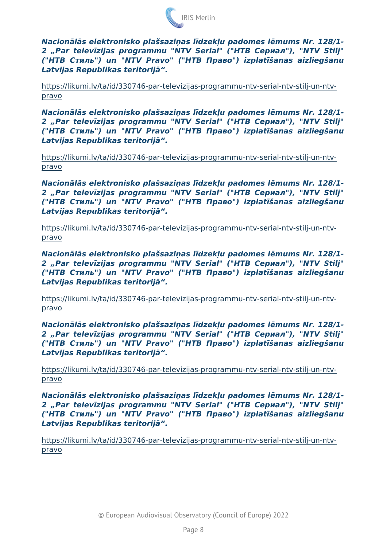Nacion I s elektronisko plaasaziFas l+dzek<u padomes l mums Nr. 2 Par telev+zijas programmu "NTV Serial" (" " !5@80;"), "NT (" " !B8;L") un "NTV Pravo" (" " @02>") izplat+aanas aizli Latvijas Republikas teritorij .

[https://likumi.lv/ta/id/330746-par-televizijas-programmu-n](https://likumi.lv/ta/id/330746-par-televizijas-programmu-ntv-serial-ntv-stilj-un-ntv-pravo)tv-serial[prav](https://likumi.lv/ta/id/330746-par-televizijas-programmu-ntv-serial-ntv-stilj-un-ntv-pravo)o

Nacion I s elektronisko plaasaziFas l+dzek<u padomes l mums Nr. 2 Par telev+zijas programmu "NTV Serial" (" " !5@80;"), "NT (" " !B8;L") un "NTV Pravo" (" " @02>") izplat+aanas aizli Latvijas Republikas teritorij .

[https://likumi.lv/ta/id/330746-par-televizijas-programmu-n](https://likumi.lv/ta/id/330746-par-televizijas-programmu-ntv-serial-ntv-stilj-un-ntv-pravo)tv-serial[prav](https://likumi.lv/ta/id/330746-par-televizijas-programmu-ntv-serial-ntv-stilj-un-ntv-pravo)o

Nacion I s elektronisko plaasaziFas l+dzek<u padomes l mums Nr. 2 Par telev+zijas programmu "NTV Serial" (" " !5@80;"), "NT  $($ "  $|B8;L"$ ) un "NTV Pravo" ("  $@02>$ ") izplat+aanas aizli Latvijas Republikas teritorij .

[https://likumi.lv/ta/id/330746-par-televizijas-programmu-n](https://likumi.lv/ta/id/330746-par-televizijas-programmu-ntv-serial-ntv-stilj-un-ntv-pravo)tv-serial[prav](https://likumi.lv/ta/id/330746-par-televizijas-programmu-ntv-serial-ntv-stilj-un-ntv-pravo)o

Nacion I s elektronisko plaasaziFas l+dzek<u padomes l mums Nr. 2 Par telev+zijas programmu "NTV Serial" (" " !5@80;"), "NT  $($ "  $\blacksquare$   $\blacksquare$   $\blacksquare$   $\blacksquare$   $\blacksquare$   $\blacksquare$   $\blacksquare$   $\blacksquare$   $\blacksquare$   $\blacksquare$   $\blacksquare$   $\blacksquare$   $\blacksquare$   $\blacksquare$   $\blacksquare$   $\blacksquare$   $\blacksquare$   $\blacksquare$   $\blacksquare$   $\blacksquare$   $\blacksquare$   $\blacksquare$   $\blacksquare$   $\blacksquare$   $\blacksquare$   $\blacksquare$   $\blacksquare$   $\blacksquare$   $\blacksquare$   $\blacksquare$   $\blacksquare$ Latvijas Republikas teritorij.

[https://likumi.lv/ta/id/330746-par-televizijas-programmu-n](https://likumi.lv/ta/id/330746-par-televizijas-programmu-ntv-serial-ntv-stilj-un-ntv-pravo)tv-serial[prav](https://likumi.lv/ta/id/330746-par-televizijas-programmu-ntv-serial-ntv-stilj-un-ntv-pravo)o

Nacion I s elektronisko plaasaziFas l+dzek<u padomes l mums Nr. 2 Par telev+zijas programmu "NTV Serial" (" " !5@80;"), "NT (" " !B8;L") un "NTV Pravo" (" " @02>") izplat+aanas aizli Latvijas Republikas teritorij .

[https://likumi.lv/ta/id/330746-par-televizijas-programmu-n](https://likumi.lv/ta/id/330746-par-televizijas-programmu-ntv-serial-ntv-stilj-un-ntv-pravo)tv-serial[prav](https://likumi.lv/ta/id/330746-par-televizijas-programmu-ntv-serial-ntv-stilj-un-ntv-pravo)o

Nacion I s elektronisko plaasaziFas l+dzek<u padomes l mums Nr. 2 Par telev+zijas programmu "NTV Serial" (" " !5@80;"), "NT (" " !B8;L") un "NTV Pravo" (" " @02>") izplat+aanas aizli Latvijas Republikas teritorij .

## [https://likumi.lv/ta/id/330746-par-televizijas-programmu-n](https://likumi.lv/ta/id/330746-par-televizijas-programmu-ntv-serial-ntv-stilj-un-ntv-pravo)tv-serial[prav](https://likumi.lv/ta/id/330746-par-televizijas-programmu-ntv-serial-ntv-stilj-un-ntv-pravo)o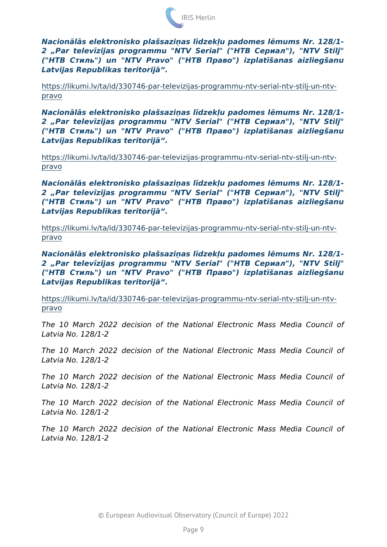Nacion I s elektronisko plaasaziFas l+dzek<u padomes l mums Nr. 2 Par telev+zijas programmu "NTV Serial" (" " !5@80;"), "NT (" " !B8;L") un "NTV Pravo" (" " @02>") izplat+aanas aizli Latvijas Republikas teritorij .

[https://likumi.lv/ta/id/330746-par-televizijas-programmu-n](https://likumi.lv/ta/id/330746-par-televizijas-programmu-ntv-serial-ntv-stilj-un-ntv-pravo)tv-serial[prav](https://likumi.lv/ta/id/330746-par-televizijas-programmu-ntv-serial-ntv-stilj-un-ntv-pravo)o

Nacion I s elektronisko plaasaziFas l+dzek<u padomes l mums Nr. 2 Par telev+zijas programmu "NTV Serial" (" " !5@80;"), "NT ("" !B8;L") un "NTV Pravo" ("" @02>") izplat+aanas aizliegaanu Latvijas Republikas teritorij .

[https://likumi.lv/ta/id/330746-par-televizijas-programmu-n](https://likumi.lv/ta/id/330746-par-televizijas-programmu-ntv-serial-ntv-stilj-un-ntv-pravo)tv-serial[prav](https://likumi.lv/ta/id/330746-par-televizijas-programmu-ntv-serial-ntv-stilj-un-ntv-pravo)o

Nacion I s elektronisko plaasaziFas l+dzek<u padomes l mums Nr. 2 Par telev+zijas programmu "NTV Serial" (" " !5@80;"), "NT  $($ "  $\mathsf{IB8}; \mathsf{L}$ ") un "NTV Pravo" (" "  $@02>$ ") izplat+aanas aizli Latvijas Republikas teritorij .

[https://likumi.lv/ta/id/330746-par-televizijas-programmu-n](https://likumi.lv/ta/id/330746-par-televizijas-programmu-ntv-serial-ntv-stilj-un-ntv-pravo)tv-serial[prav](https://likumi.lv/ta/id/330746-par-televizijas-programmu-ntv-serial-ntv-stilj-un-ntv-pravo)o

Nacion I s elektronisko plaasaziFas l+dzek<u padomes l mums Nr. 2 Par telev+zijas programmu "NTV Serial" (" " !5@80;"), "NT  $($ "  $\blacksquare$   $\blacksquare$   $\blacksquare$   $\blacksquare$   $\blacksquare$   $\blacksquare$   $\blacksquare$   $\blacksquare$   $\blacksquare$   $\blacksquare$   $\blacksquare$   $\blacksquare$   $\blacksquare$   $\blacksquare$   $\blacksquare$   $\blacksquare$   $\blacksquare$   $\blacksquare$   $\blacksquare$   $\blacksquare$   $\blacksquare$   $\blacksquare$   $\blacksquare$   $\blacksquare$   $\blacksquare$   $\blacksquare$   $\blacksquare$   $\blacksquare$   $\blacksquare$   $\blacksquare$   $\blacksquare$ Latvijas Republikas teritorij.

[https://likumi.lv/ta/id/330746-par-televizijas-programmu-n](https://likumi.lv/ta/id/330746-par-televizijas-programmu-ntv-serial-ntv-stilj-un-ntv-pravo)tv-serial[prav](https://likumi.lv/ta/id/330746-par-televizijas-programmu-ntv-serial-ntv-stilj-un-ntv-pravo)o

The 10 March 2022 decision of the National Electronic Mass Latvia No. 128/1-2

The 10 March 2022 decision of the National Electronic Mass Latvia No. 128/1-2

The 10 March 2022 decision of the National Electronic Mass Latvia No. 128/1-2

The 10 March 2022 decision of the National Electronic Mass Latvia No. 128/1-2

The 10 March 2022 decision of the National Electronic Mass Latvia No. 128/1-2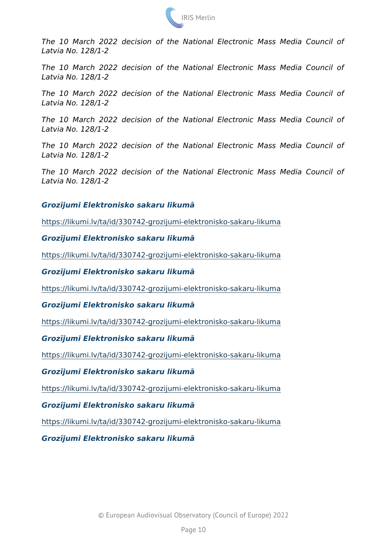The 10 March 2022 decision of the National Electronic Mass Latvia No. 128/1-2

The 10 March 2022 decision of the National Electronic Mass Latvia No. 128/1-2

The 10 March 2022 decision of the National Electronic Mass Latvia No. 128/1-2

The 10 March 2022 decision of the National Electronic Mass Latvia No. 128/1-2

The 10 March 2022 decision of the National Electronic Mass Latvia No. 128/1-2

The 10 March 2022 decision of the National Electronic Mass Latvia No. 128/1-2

Groz+jumi Elektronisko sakaru likum

[https://likumi.lv/ta/id/330742-grozijumi-elektro](https://likumi.lv/ta/id/330742-grozijumi-elektronisko-sakaru-likuma)nisko-sakaru-likuma

Groz+jumi Elektronisko sakaru likum

[https://likumi.lv/ta/id/330742-grozijumi-elektro](https://likumi.lv/ta/id/330742-grozijumi-elektronisko-sakaru-likuma)nisko-sakaru-likuma

Groz+jumi Elektronisko sakaru likum

[https://likumi.lv/ta/id/330742-grozijumi-elektro](https://likumi.lv/ta/id/330742-grozijumi-elektronisko-sakaru-likuma)nisko-sakaru-likuma

Groz+jumi Elektronisko sakaru likum

[https://likumi.lv/ta/id/330742-grozijumi-elektro](https://likumi.lv/ta/id/330742-grozijumi-elektronisko-sakaru-likuma)nisko-sakaru-likuma

Groz+jumi Elektronisko sakaru likum

[https://likumi.lv/ta/id/330742-grozijumi-elektro](https://likumi.lv/ta/id/330742-grozijumi-elektronisko-sakaru-likuma)nisko-sakaru-likuma

Groz+jumi Elektronisko sakaru likum

[https://likumi.lv/ta/id/330742-grozijumi-elektro](https://likumi.lv/ta/id/330742-grozijumi-elektronisko-sakaru-likuma)nisko-sakaru-likuma

Groz+jumi Elektronisko sakaru likum

[https://likumi.lv/ta/id/330742-grozijumi-elektro](https://likumi.lv/ta/id/330742-grozijumi-elektronisko-sakaru-likuma)nisko-sakaru-likuma

Groz+jumi Elektronisko sakaru likum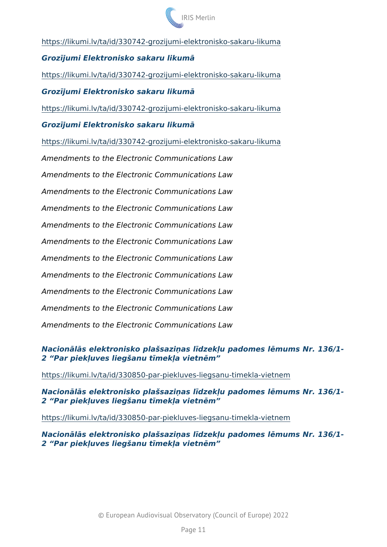[https://likumi.lv/ta/id/330742-grozijumi-elektro](https://likumi.lv/ta/id/330742-grozijumi-elektronisko-sakaru-likuma)nisko-sakaru-likuma

Groz+jumi Elektronisko sakaru likum

[https://likumi.lv/ta/id/330742-grozijumi-elektro](https://likumi.lv/ta/id/330742-grozijumi-elektronisko-sakaru-likuma)nisko-sakaru-likuma

Groz+jumi Elektronisko sakaru likum

[https://likumi.lv/ta/id/330742-grozijumi-elektro](https://likumi.lv/ta/id/330742-grozijumi-elektronisko-sakaru-likuma)nisko-sakaru-likuma

Groz+jumi Elektronisko sakaru likum

[https://likumi.lv/ta/id/330742-grozijumi-elektro](https://likumi.lv/ta/id/330742-grozijumi-elektronisko-sakaru-likuma)nisko-sakaru-likuma

Amendments to the Electronic Communications Law Amendments to the Electronic Communications Law Amendments to the Electronic Communications Law Amendments to the Electronic Communications Law Amendments to the Electronic Communications Law Amendments to the Electronic Communications Law Amendments to the Electronic Communications Law Amendments to the Electronic Communications Law Amendments to the Electronic Communications Law Amendments to the Electronic Communications Law Amendments to the Electronic Communications Law

Nacion I s elektronisko plaasaziFas l+dzek<u padomes l mums Nr. 2 Par piek<uves liegaanu t+mek<a vietnm

[https://likumi.lv/ta/id/330850-par-piekluves-liegs](https://likumi.lv/ta/id/330850-par-piekluves-liegsanu-timekla-vietnem)anu-timekla-vietnem

Nacion I s elektronisko plaasaziFas l+dzek<u padomes l mums Nr. 2 Par piek<uves liegaanu t+mek<a vietnm

[https://likumi.lv/ta/id/330850-par-piekluves-liegs](https://likumi.lv/ta/id/330850-par-piekluves-liegsanu-timekla-vietnem)anu-timekla-vietnem

Nacion I s elektronisko plaasaziFas l+dzek<u padomes l mums Nr. 2 Par piek<uves liegaanu t+mek<a vietnm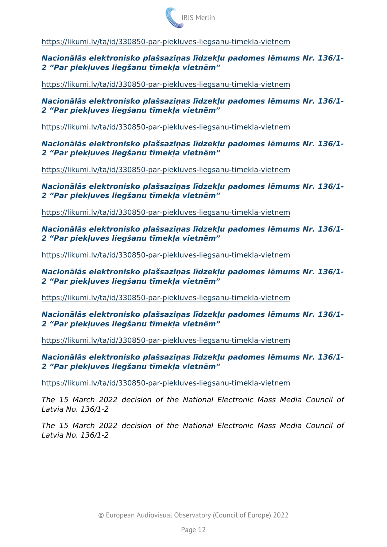[https://likumi.lv/ta/id/330850-par-piekluves-liegs](https://likumi.lv/ta/id/330850-par-piekluves-liegsanu-timekla-vietnem)anu-timekla-vietnem

Nacion I s elektronisko plaasaziFas l+dzek<u padomes l mums Nr. 2 Par piek<uves liegaanu t+mek<a vietnm

[https://likumi.lv/ta/id/330850-par-piekluves-liegs](https://likumi.lv/ta/id/330850-par-piekluves-liegsanu-timekla-vietnem)anu-timekla-vietnem

Nacion I s elektronisko plaasaziFas l+dzek<u padomes l mums Nr. Par piek<uves liegaanu t+mek<a vietn m

[https://likumi.lv/ta/id/330850-par-piekluves-liegs](https://likumi.lv/ta/id/330850-par-piekluves-liegsanu-timekla-vietnem)anu-timekla-vietnem

Nacion I s elektronisko plaasaziFas l+dzek<u padomes l mums Nr. 2 Par piek<uves liegaanu t+mek<a vietnm

[https://likumi.lv/ta/id/330850-par-piekluves-liegs](https://likumi.lv/ta/id/330850-par-piekluves-liegsanu-timekla-vietnem)anu-timekla-vietnem

Nacion I s elektronisko plaasaziFas l+dzek<u padomes l mums Nr. 2 Par piek<uves liegaanu t+mek<a vietnm

[https://likumi.lv/ta/id/330850-par-piekluves-liegs](https://likumi.lv/ta/id/330850-par-piekluves-liegsanu-timekla-vietnem)anu-timekla-vietnem

Nacion I s elektronisko plaasaziFas l+dzek<u padomes l mums Nr. 2 Par piek<uves liegaanu t+mek<a vietnm

[https://likumi.lv/ta/id/330850-par-piekluves-liegs](https://likumi.lv/ta/id/330850-par-piekluves-liegsanu-timekla-vietnem)anu-timekla-vietnem

Nacion I s elektronisko plaasaziFas l+dzek<u padomes l mums Nr. 2 Par piek<uves liegaanu t+mek<a vietnm

[https://likumi.lv/ta/id/330850-par-piekluves-liegs](https://likumi.lv/ta/id/330850-par-piekluves-liegsanu-timekla-vietnem)anu-timekla-vietnem

Nacion I s elektronisko plaasaziFas l+dzek<u padomes l mums Nr. 2 Par piek<uves liegaanu t+mek<a vietnm

[https://likumi.lv/ta/id/330850-par-piekluves-liegs](https://likumi.lv/ta/id/330850-par-piekluves-liegsanu-timekla-vietnem)anu-timekla-vietnem

Nacion I s elektronisko plaasaziFas l+dzek<u padomes l mums Nr. 2 Par piek<uves liegaanu t+mek<a vietnm

[https://likumi.lv/ta/id/330850-par-piekluves-liegs](https://likumi.lv/ta/id/330850-par-piekluves-liegsanu-timekla-vietnem)anu-timekla-vietnem

The 15 March 2022 decision of the National Electronic Mass Latvia No. 136/1-2

The 15 March 2022 decision of the National Electronic Mass Latvia No. 136/1-2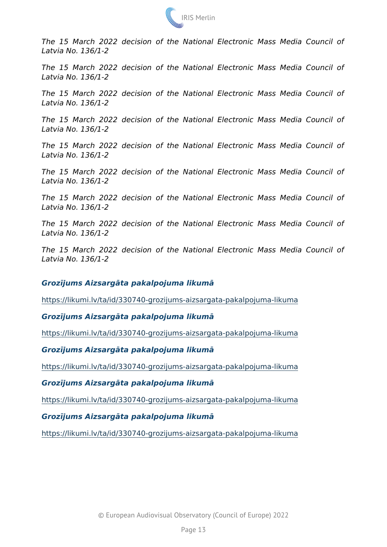The 15 March 2022 decision of the National Electronic Mass Latvia No. 136/1-2 The 15 March 2022 decision of the National Electronic Mass Latvia No. 136/1-2 The 15 March 2022 decision of the National Electronic Mass Latvia No. 136/1-2 The 15 March 2022 decision of the National Electronic Mass Latvia No. 136/1-2 The 15 March 2022 decision of the National Electronic Mass Latvia No. 136/1-2 The 15 March 2022 decision of the National Electronic Mass Latvia No. 136/1-2 The 15 March 2022 decision of the National Electronic Mass Latvia No. 136/1-2 The 15 March 2022 decision of the National Electronic Mass Latvia No. 136/1-2 The 15 March 2022 decision of the National Electronic Mass Latvia No. 136/1-2 Groz+jums Aizsarg ta pakalpojuma likum [https://likumi.lv/ta/id/330740-grozijums-aizsargata](https://likumi.lv/ta/id/330740-grozijums-aizsargata-pakalpojuma-likuma)-pakalpojuma-liku Groz+jums Aizsarg ta pakalpojuma likum [https://likumi.lv/ta/id/330740-grozijums-aizsargata](https://likumi.lv/ta/id/330740-grozijums-aizsargata-pakalpojuma-likuma)-pakalpojuma-liki Groz+jums Aizsarg ta pakalpojuma likum [https://likumi.lv/ta/id/330740-grozijums-aizsargata](https://likumi.lv/ta/id/330740-grozijums-aizsargata-pakalpojuma-likuma)-pakalpojuma-liku Groz+jums Aizsarg ta pakalpojuma likum [https://likumi.lv/ta/id/330740-grozijums-aizsargata](https://likumi.lv/ta/id/330740-grozijums-aizsargata-pakalpojuma-likuma)-pakalpojuma-liki

Groz+jums Aizsarg ta pakalpojuma likum

[https://likumi.lv/ta/id/330740-grozijums-aizsargata](https://likumi.lv/ta/id/330740-grozijums-aizsargata-pakalpojuma-likuma)-pakalpojuma-liki

© European Audiovisual Observatory (Council of Europe) 2022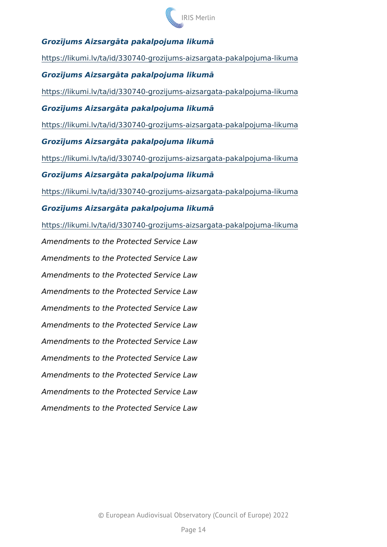Groz+jums Aizsarg ta pakalpojuma likum [https://likumi.lv/ta/id/330740-grozijums-aizsargata](https://likumi.lv/ta/id/330740-grozijums-aizsargata-pakalpojuma-likuma)-pakalpojuma-liki Groz+jums Aizsarg ta pakalpojuma likum [https://likumi.lv/ta/id/330740-grozijums-aizsargata](https://likumi.lv/ta/id/330740-grozijums-aizsargata-pakalpojuma-likuma)-pakalpojuma-liki Groz+jums Aizsarg ta pakalpojuma likum [https://likumi.lv/ta/id/330740-grozijums-aizsargata](https://likumi.lv/ta/id/330740-grozijums-aizsargata-pakalpojuma-likuma)-pakalpojuma-liki Groz+jums Aizsarg ta pakalpojuma likum [https://likumi.lv/ta/id/330740-grozijums-aizsargata](https://likumi.lv/ta/id/330740-grozijums-aizsargata-pakalpojuma-likuma)-pakalpojuma-liki Groz+jums Aizsarg ta pakalpojuma likum [https://likumi.lv/ta/id/330740-grozijums-aizsargata](https://likumi.lv/ta/id/330740-grozijums-aizsargata-pakalpojuma-likuma)-pakalpojuma-liku Groz+jums Aizsarg ta pakalpojuma likum [https://likumi.lv/ta/id/330740-grozijums-aizsargata](https://likumi.lv/ta/id/330740-grozijums-aizsargata-pakalpojuma-likuma)-pakalpojuma-liku Amendments to the Protected Service Law Amendments to the Protected Service Law Amendments to the Protected Service Law Amendments to the Protected Service Law Amendments to the Protected Service Law Amendments to the Protected Service Law Amendments to the Protected Service Law Amendments to the Protected Service Law Amendments to the Protected Service Law Amendments to the Protected Service Law Amendments to the Protected Service Law